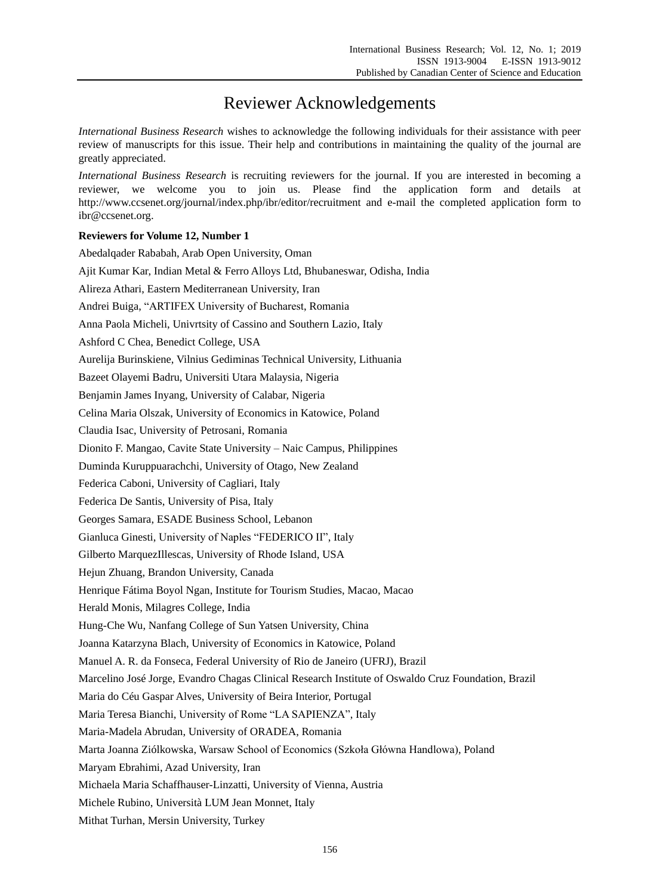## Reviewer Acknowledgements

*International Business Research* wishes to acknowledge the following individuals for their assistance with peer review of manuscripts for this issue. Their help and contributions in maintaining the quality of the journal are greatly appreciated.

*International Business Research* is recruiting reviewers for the journal. If you are interested in becoming a reviewer, we welcome you to join us. Please find the application form and details at http://www.ccsenet.org/journal/index.php/ibr/editor/recruitment and e-mail the completed application form to ibr@ccsenet.org.

## **Reviewers for Volume 12, Number 1**

| Abedalqader Rababah, Arab Open University, Oman                                                      |
|------------------------------------------------------------------------------------------------------|
| Ajit Kumar Kar, Indian Metal & Ferro Alloys Ltd, Bhubaneswar, Odisha, India                          |
| Alireza Athari, Eastern Mediterranean University, Iran                                               |
| Andrei Buiga, "ARTIFEX University of Bucharest, Romania                                              |
| Anna Paola Micheli, Univrtsity of Cassino and Southern Lazio, Italy                                  |
| Ashford C Chea, Benedict College, USA                                                                |
| Aurelija Burinskiene, Vilnius Gediminas Technical University, Lithuania                              |
| Bazeet Olayemi Badru, Universiti Utara Malaysia, Nigeria                                             |
| Benjamin James Inyang, University of Calabar, Nigeria                                                |
| Celina Maria Olszak, University of Economics in Katowice, Poland                                     |
| Claudia Isac, University of Petrosani, Romania                                                       |
| Dionito F. Mangao, Cavite State University - Naic Campus, Philippines                                |
| Duminda Kuruppuarachchi, University of Otago, New Zealand                                            |
| Federica Caboni, University of Cagliari, Italy                                                       |
| Federica De Santis, University of Pisa, Italy                                                        |
| Georges Samara, ESADE Business School, Lebanon                                                       |
| Gianluca Ginesti, University of Naples "FEDERICO II", Italy                                          |
| Gilberto MarquezIllescas, University of Rhode Island, USA                                            |
| Hejun Zhuang, Brandon University, Canada                                                             |
| Henrique Fátima Boyol Ngan, Institute for Tourism Studies, Macao, Macao                              |
| Herald Monis, Milagres College, India                                                                |
| Hung-Che Wu, Nanfang College of Sun Yatsen University, China                                         |
| Joanna Katarzyna Blach, University of Economics in Katowice, Poland                                  |
| Manuel A. R. da Fonseca, Federal University of Rio de Janeiro (UFRJ), Brazil                         |
| Marcelino Jos é Jorge, Evandro Chagas Clinical Research Institute of Oswaldo Cruz Foundation, Brazil |
| Maria do C ái Gaspar Alves, University of Beira Interior, Portugal                                   |
| Maria Teresa Bianchi, University of Rome "LA SAPIENZA", Italy                                        |
| Maria-Madela Abrudan, University of ORADEA, Romania                                                  |
| Marta Joanna Zi dkowska, Warsaw School of Economics (Szkoła Główna Handlowa), Poland                 |
| Maryam Ebrahimi, Azad University, Iran                                                               |
| Michaela Maria Schaffhauser-Linzatti, University of Vienna, Austria                                  |
| Michele Rubino, Universit à LUM Jean Monnet, Italy                                                   |
| Mithat Turhan, Mersin University, Turkey                                                             |